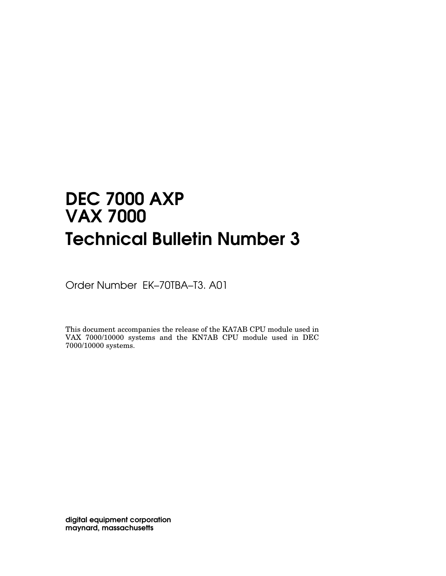# DEC 7000 AXP VAX 7000 Technical Bulletin Number 3

Order Number EK–70TBA–T3. A01

This document accompanies the release of the KA7AB CPU module used in VAX 7000/10000 systems and the KN7AB CPU module used in DEC 7000/10000 systems.

digital equipment corporation maynard, massachusetts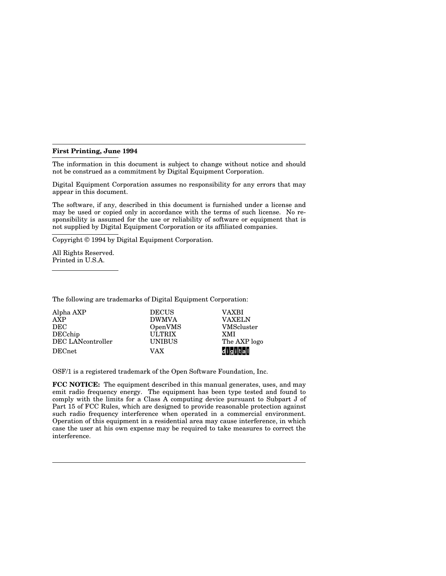#### **First Printing, June 1994**

The information in this document is subject to change without notice and should not be construed as a commitment by Digital Equipment Corporation.

Digital Equipment Corporation assumes no responsibility for any errors that may appear in this document.

The software, if any, described in this document is furnished under a license and may be used or copied only in accordance with the terms of such license. No responsibility is assumed for the use or reliability of software or equipment that is not supplied by Digital Equipment Corporation or its affiliated companies.

Copyright © 1994 by Digital Equipment Corporation.

All Rights Reserved. Printed in U.S.A.

The following are trademarks of Digital Equipment Corporation:

| Alpha AXP         | <b>DECUS</b>  | VAXBI             |
|-------------------|---------------|-------------------|
| AXP               | <b>DWMVA</b>  | <b>VAXELN</b>     |
| DEC               | OpenVMS       | <b>VMScluster</b> |
| DECchip           | <b>ULTRIX</b> | <b>XMI</b>        |
| DEC LANcontroller | <b>UNIBUS</b> | The AXP logo      |
| <b>DECnet</b>     | VAX           | digital           |

OSF/1 is a registered trademark of the Open Software Foundation, Inc.

**FCC NOTICE:** The equipment described in this manual generates, uses, and may emit radio frequency energy. The equipment has been type tested and found to comply with the limits for a Class A computing device pursuant to Subpart J of Part 15 of FCC Rules, which are designed to provide reasonable protection against such radio frequency interference when operated in a commercial environment. Operation of this equipment in a residential area may cause interference, in which case the user at his own expense may be required to take measures to correct the interference.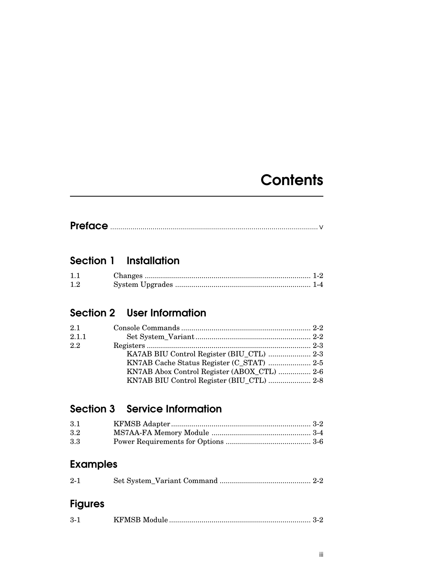# **Contents**

|--|--|

## Section 1 Installation

| 1.1 |  |
|-----|--|
| 1.2 |  |

## Section 2 User Information

| 2.1   |                                             |  |
|-------|---------------------------------------------|--|
| 2.1.1 |                                             |  |
| 2.2   |                                             |  |
|       |                                             |  |
|       |                                             |  |
|       | KN7AB Abox Control Register (ABOX CTL)  2-6 |  |
|       | KN7AB BIU Control Register (BIU_CTL)  2-8   |  |

## Section 3 Service Information

| 3.1 |  |
|-----|--|
| 3.2 |  |
| 3.3 |  |

## Examples

| $2 - 1$ |  |  |
|---------|--|--|
|         |  |  |

## Figures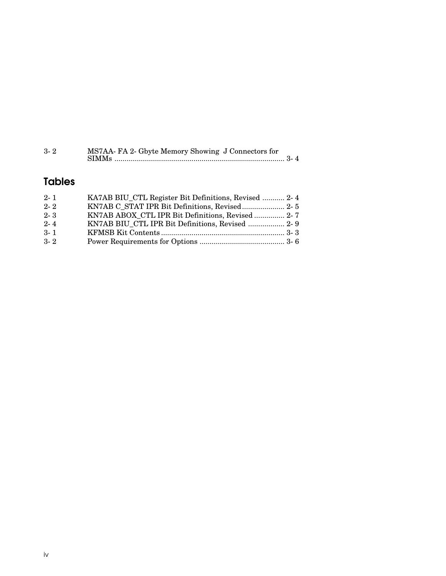| $3 - 2$ | MS7AA-FA 2- Gbyte Memory Showing J Connectors for |
|---------|---------------------------------------------------|
|         |                                                   |

## Tables

| $2 - 1$ | KA7AB BIU CTL Register Bit Definitions, Revised  2-4 |  |
|---------|------------------------------------------------------|--|
| $2 - 2$ | KN7AB C STAT IPR Bit Definitions, Revised 2-5        |  |
| $2 - 3$ | KN7AB ABOX CTL IPR Bit Definitions, Revised  2-7     |  |
| $2 - 4$ | KN7AB BIU CTL IPR Bit Definitions, Revised  2- 9     |  |
| $3 - 1$ |                                                      |  |
| $3 - 2$ |                                                      |  |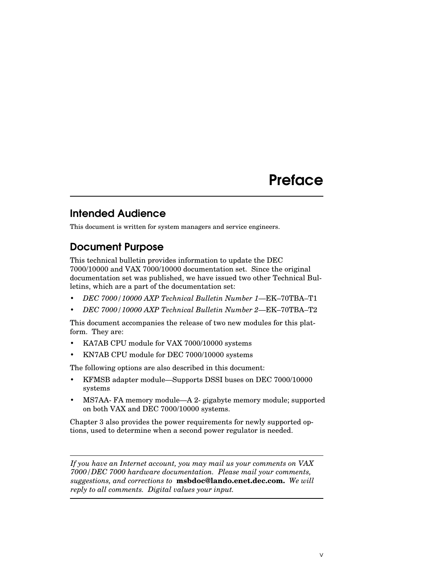## **Preface**

### Intended Audience

This document is written for system managers and service engineers.

## Document Purpose

This technical bulletin provides information to update the DEC 7000/10000 and VAX 7000/10000 documentation set. Since the original documentation set was published, we have issued two other Technical Bulletins, which are a part of the documentation set:

- *DEC 7000/10000 AXP Technical Bulletin Number 1*—EK–70TBA–T1
- *DEC 7000/10000 AXP Technical Bulletin Number 2*—EK–70TBA–T2

This document accompanies the release of two new modules for this platform. They are:

- KA7AB CPU module for VAX 7000/10000 systems
- KN7AB CPU module for DEC 7000/10000 systems

The following options are also described in this document:

- KFMSB adapter module—Supports DSSI buses on DEC 7000/10000 systems
- MS7AA-FA memory module—A 2-gigabyte memory module; supported on both VAX and DEC 7000/10000 systems.

Chapter 3 also provides the power requirements for newly supported options, used to determine when a second power regulator is needed.

*If you have an Internet account, you may mail us your comments on VAX 7000/DEC 7000 hardware documentation. Please mail your comments, suggestions, and corrections to* **msbdoc@lando.enet.dec.com.** *We will reply to all comments. Digital values your input.*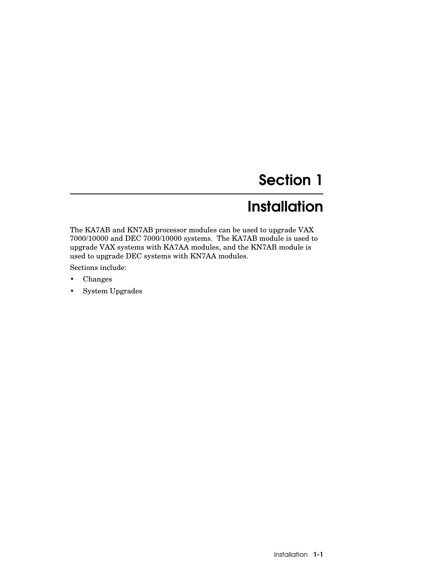# Section 1

# **Installation**

The KA7AB and KN7AB processor modules can be used to upgrade VAX 7000/10000 and DEC 7000/10000 systems. The KA7AB module is used to upgrade VAX systems with KA7AA modules, and the KN7AB module is used to upgrade DEC systems with KN7AA modules.

Sections include:

- Changes
- System Upgrades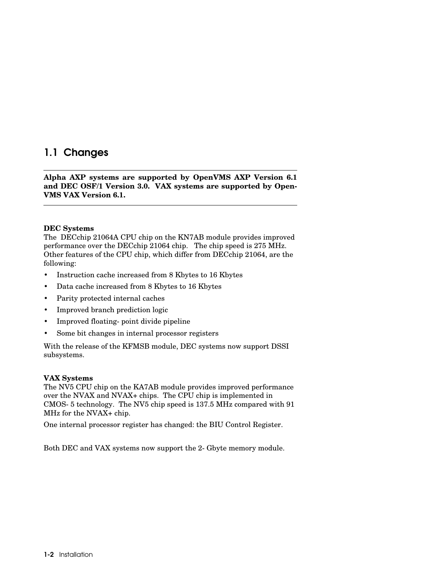### 1.1 Changes

**Alpha AXP systems are supported by OpenVMS AXP Version 6.1 and DEC OSF/1 Version 3.0. VAX systems are supported by Open-VMS VAX Version 6.1.**

#### **DEC Systems**

The DECchip 21064A CPU chip on the KN7AB module provides improved performance over the DECchip 21064 chip. The chip speed is 275 MHz. Other features of the CPU chip, which differ from DECchip 21064, are the following:

- Instruction cache increased from 8 Kbytes to 16 Kbytes
- Data cache increased from 8 Kbytes to 16 Kbytes
- Parity protected internal caches
- Improved branch prediction logic
- Improved floating-point divide pipeline
- Some bit changes in internal processor registers

With the release of the KFMSB module, DEC systems now support DSSI subsystems.

#### **VAX Systems**

The NV5 CPU chip on the KA7AB module provides improved performance over the NVAX and NVAX+ chips. The CPU chip is implemented in CMOS-5 technology. The NV5 chip speed is 137.5 MHz compared with 91 MHz for the NVAX+ chip.

One internal processor register has changed: the BIU Control Register.

Both DEC and VAX systems now support the 2-Gbyte memory module.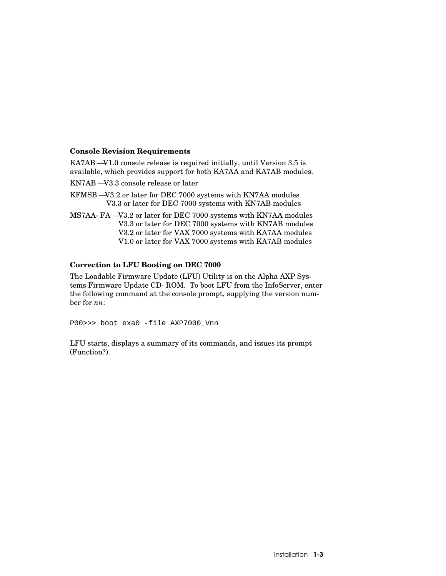#### **Console Revision Requirements**

KA7AB —V1.0 console release is required initially, until Version 3.5 is available, which provides support for both KA7AA and KA7AB modules.

KN7AB —V3.3 console release or later

- KFMSB —V3.2 or later for DEC 7000 systems with KN7AA modules V3.3 or later for DEC 7000 systems with KN7AB modules
- MS7AA-FA —V3.2 or later for DEC 7000 systems with KN7AA modules V3.3 or later for DEC 7000 systems with KN7AB modules V3.2 or later for VAX 7000 systems with KA7AA modules V1.0 or later for VAX 7000 systems with KA7AB modules

#### **Correction to LFU Booting on DEC 7000**

The Loadable Firmware Update (LFU) Utility is on the Alpha AXP Systems Firmware Update CD-ROM. To boot LFU from the InfoServer, enter the following command at the console prompt, supplying the version number for *nn*:

P00>>> boot exa0 -file AXP7000\_Vnn

LFU starts, displays a summary of its commands, and issues its prompt (Function?).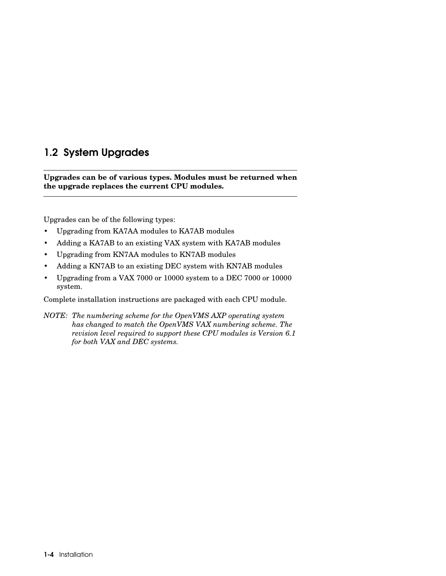### 1.2 System Upgrades

**Upgrades can be of various types. Modules must be returned when the upgrade replaces the current CPU modules.**

Upgrades can be of the following types:

- Upgrading from KA7AA modules to KA7AB modules
- Adding a KA7AB to an existing VAX system with KA7AB modules
- Upgrading from KN7AA modules to KN7AB modules
- Adding a KN7AB to an existing DEC system with KN7AB modules
- Upgrading from a VAX 7000 or 10000 system to a DEC 7000 or 10000 system.

Complete installation instructions are packaged with each CPU module.

*NOTE: The numbering scheme for the OpenVMS AXP operating system has changed to match the OpenVMS VAX numbering scheme. The revision level required to support these CPU modules is Version 6.1 for both VAX and DEC systems.*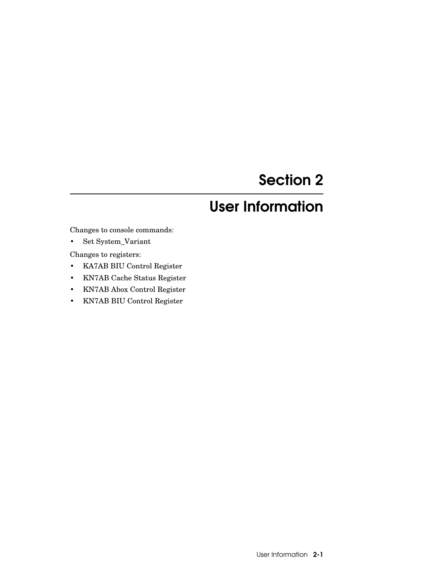# Section 2

# User Information

Changes to console commands:

• Set System\_Variant

Changes to registers:

- KA7AB BIU Control Register
- KN7AB Cache Status Register
- KN7AB Abox Control Register
- KN7AB BIU Control Register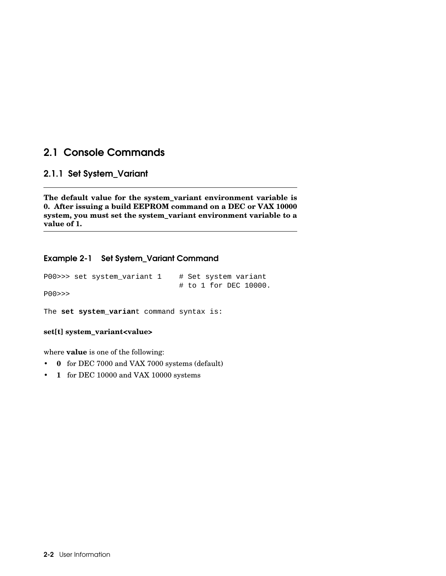### 2.1 Console Commands

#### 2.1.1 Set System\_Variant

**The default value for the system\_variant environment variable is 0. After issuing a build EEPROM command on a DEC or VAX 10000 system, you must set the system\_variant environment variable to a value of 1.**

#### Example 2-1 Set System\_Variant Command

```
P00>>> set system_variant 1 # Set system variant 
                                # to 1 for DEC 10000.
P00>>>
The set system_variant command syntax is:
```
**set[t] system\_variant<value>**

where **value** is one of the following:

- **0** for DEC 7000 and VAX 7000 systems (default)
- **1** for DEC 10000 and VAX 10000 systems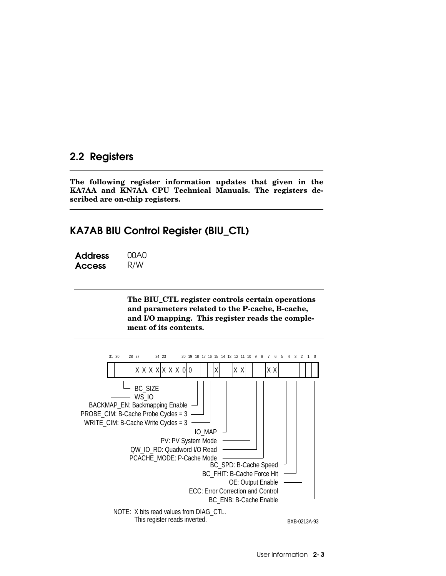### 2.2 Registers

**The following register information updates that given in the KA7AA and KN7AA CPU Technical Manuals. The registers described are on-chip registers.**

### KA7AB BIU Control Register (BIU\_CTL)

| <b>Address</b> | 00A0 |
|----------------|------|
| <b>Access</b>  | R/W  |

**The BIU\_CTL register controls certain operations and parameters related to the P-cache, B-cache, and I/O mapping. This register reads the complement of its contents.**

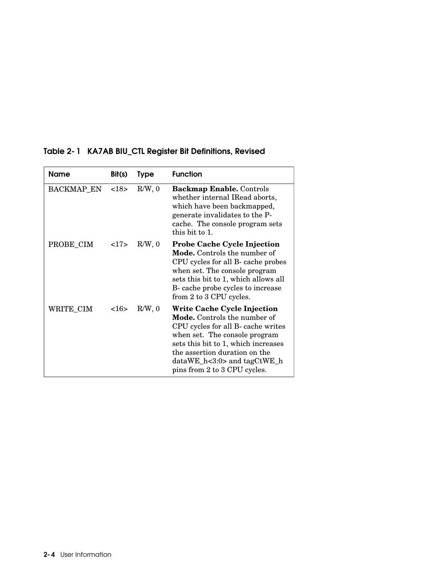| Name              | Bit(s) | <b>Type</b> | <b>Function</b>                                                                                                                                                                                                                                                                       |
|-------------------|--------|-------------|---------------------------------------------------------------------------------------------------------------------------------------------------------------------------------------------------------------------------------------------------------------------------------------|
| <b>BACKMAP EN</b> | <18>   | $R/W$ , 0   | <b>Backmap Enable.</b> Controls<br>whether internal IRead aborts,<br>which have been backmapped,<br>generate invalidates to the P-<br>cache. The console program sets<br>this bit to 1.                                                                                               |
| PROBE_CIM         | 17     | $R/W$ , 0   | <b>Probe Cache Cycle Injection</b><br><b>Mode.</b> Controls the number of<br>CPU cycles for all B- cache probes<br>when set. The console program<br>sets this bit to 1, which allows all<br>B- cache probe cycles to increase<br>from 2 to 3 CPU cycles.                              |
| WRITE_CIM         | <16    | $R/W$ , 0   | Write Cache Cycle Injection<br><b>Mode.</b> Controls the number of<br>CPU cycles for all B- cache writes<br>when set. The console program<br>sets this bit to 1, which increases<br>the assertion duration on the<br>$dataWE_h < 3:0$ and $tagCtWE_h$<br>pins from 2 to 3 CPU cycles. |

#### Table 2-1 KA7AB BIU\_CTL Register Bit Definitions, Revised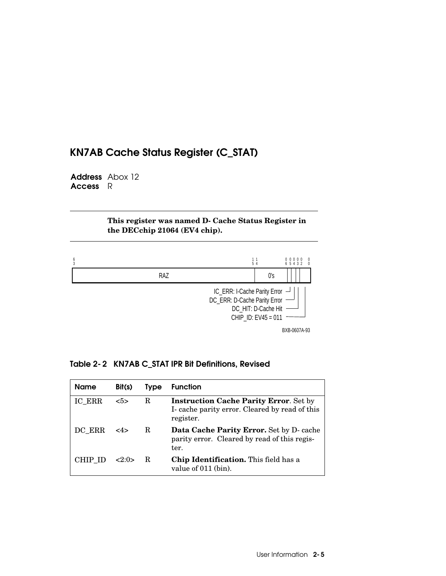## KN7AB Cache Status Register (C\_STAT)

Address Abox 12 Access R

> **This register was named D-Cache Status Register in the DECchip 21064 (EV4 chip).**



|  |  |  | Table 2-2 KN7AB C_STAT IPR Bit Definitions, Revised |  |
|--|--|--|-----------------------------------------------------|--|
|--|--|--|-----------------------------------------------------|--|

| Name    | Bit(s)                | <b>Type</b> | <b>Function</b>                                                                                             |
|---------|-----------------------|-------------|-------------------------------------------------------------------------------------------------------------|
| IC ERR  | $5>$                  | R           | <b>Instruction Cache Parity Error.</b> Set by<br>I-cache parity error. Cleared by read of this<br>register. |
| DC ERR  | <4>                   | R           | Data Cache Parity Error. Set by D- cache<br>parity error. Cleared by read of this regis-<br>ter.            |
| CHIP ID | $\langle 2:0 \rangle$ | R.          | Chip Identification. This field has a<br>value of 011 (bin).                                                |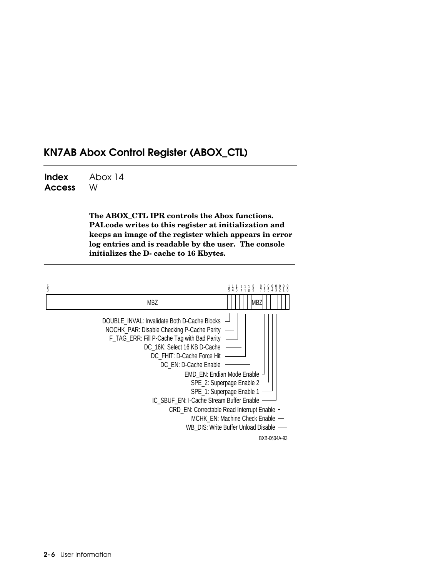### KN7AB Abox Control Register (ABOX\_CTL)

Index Access Abox 14 W

> **The ABOX\_CTL IPR controls the Abox functions. PALcode writes to this register at initialization and keeps an image of the register which appears in error log entries and is readable by the user. The console initializes the D-cache to 16 Kbytes.**

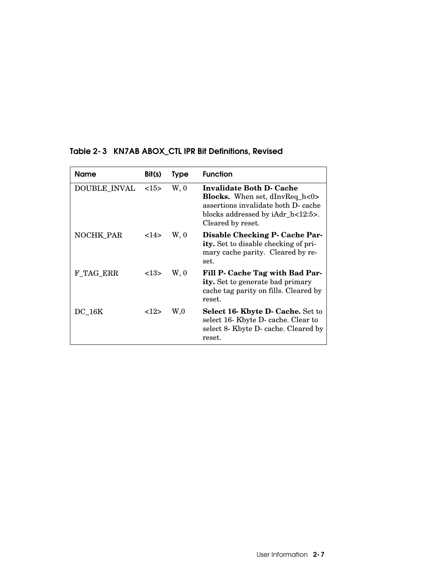| Name             | Bit(s)  | <b>Type</b> | <b>Function</b>                                                                                                                                                    |
|------------------|---------|-------------|--------------------------------------------------------------------------------------------------------------------------------------------------------------------|
| DOUBLE INVAL     | <15>    | W, 0        | Invalidate Both D- Cache<br><b>Blocks.</b> When set, dInvReq_h<0><br>assertions invalidate both D- cache<br>blocks addressed by iAdr h<12:5>.<br>Cleared by reset. |
| <b>NOCHK PAR</b> | <14>    | W, 0        | Disable Checking P- Cache Par-<br><b>ity.</b> Set to disable checking of pri-<br>mary cache parity. Cleared by re-<br>set.                                         |
| F TAG ERR        | <13>    | W, 0        | Fill P. Cache Tag with Bad Par-<br><b>ity.</b> Set to generate bad primary<br>cache tag parity on fills. Cleared by<br>reset.                                      |
| <b>DC 16K</b>    | $<$ 12> | W,0         | Select 16- Kbyte D- Cache. Set to<br>select 16- Kbyte D- cache. Clear to<br>select 8- Kbyte D- cache. Cleared by<br>reset.                                         |

#### Table 2-3 KN7AB ABOX\_CTL IPR Bit Definitions, Revised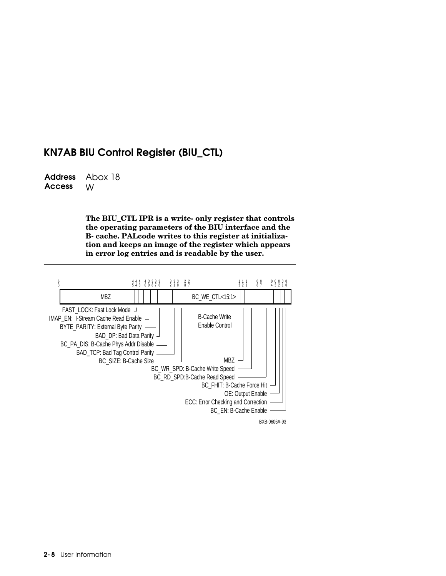### KN7AB BIU Control Register (BIU\_CTL)

Address Access Abox 18 W

> **The BIU\_CTL IPR is a write-only register that controls the operating parameters of the BIU interface and the B-cache. PALcode writes to this register at initialization and keeps an image of the register which appears in error log entries and is readable by the user.**

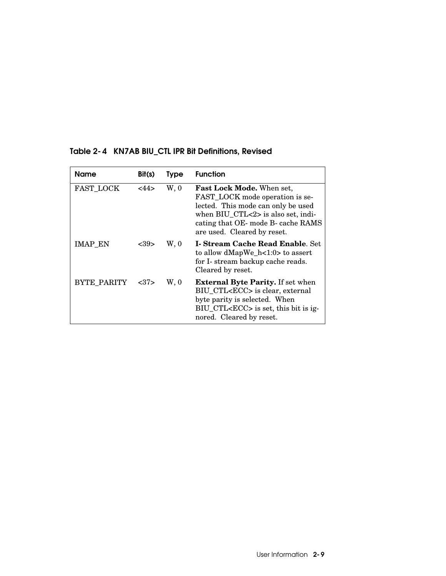| Name               | Bit(s) | <b>Type</b> | <b>Function</b>                                                                                                                                                                                               |
|--------------------|--------|-------------|---------------------------------------------------------------------------------------------------------------------------------------------------------------------------------------------------------------|
| <b>FAST LOCK</b>   | <44>   | W, 0        | Fast Lock Mode. When set,<br>FAST_LOCK mode operation is se-<br>lected. This mode can only be used<br>when BIU CTL<2> is also set, indi-<br>cating that OE- mode B- cache RAMS<br>are used. Cleared by reset. |
| <b>IMAP EN</b>     | <39>   | W, 0        | <b>I. Stream Cache Read Enable. Set</b><br>to allow dMapWe_h<1:0> to assert<br>for I- stream backup cache reads.<br>Cleared by reset.                                                                         |
| <b>BYTE PARITY</b> | <37    | W, 0        | <b>External Byte Parity.</b> If set when<br>BIU CTL <ecc> is clear, external<br/>byte parity is selected. When<br/>BIU_CTL<ecc> is set, this bit is ig-<br/>nored. Cleared by reset.</ecc></ecc>              |

#### Table 2-4 KN7AB BIU\_CTL IPR Bit Definitions, Revised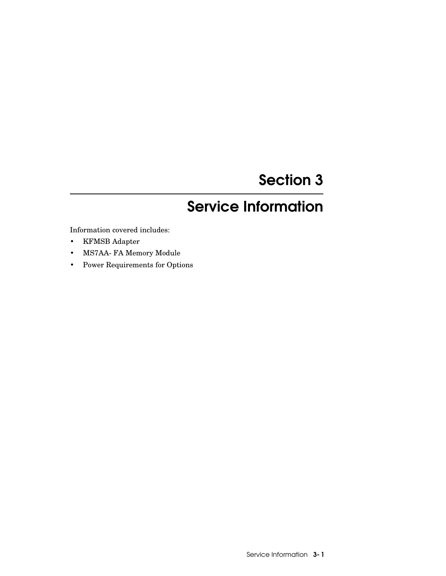# Section 3

# Service Information

Information covered includes:

- KFMSB Adapter
- MS7AA-FA Memory Module
- Power Requirements for Options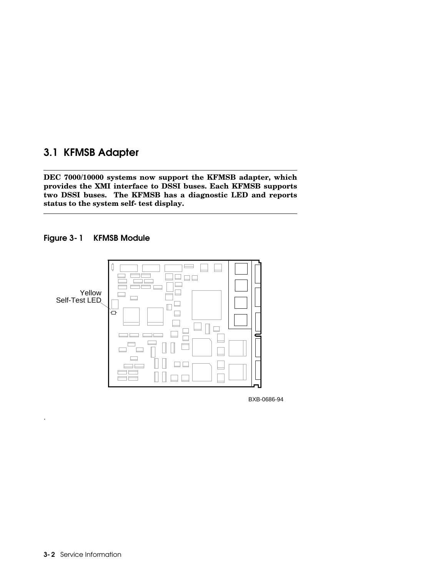### 3.1 KFMSB Adapter

**DEC 7000/10000 systems now support the KFMSB adapter, which provides the XMI interface to DSSI buses. Each KFMSB supports two DSSI buses. The KFMSB has a diagnostic LED and reports status to the system self-test display.**





BXB-0686-94

.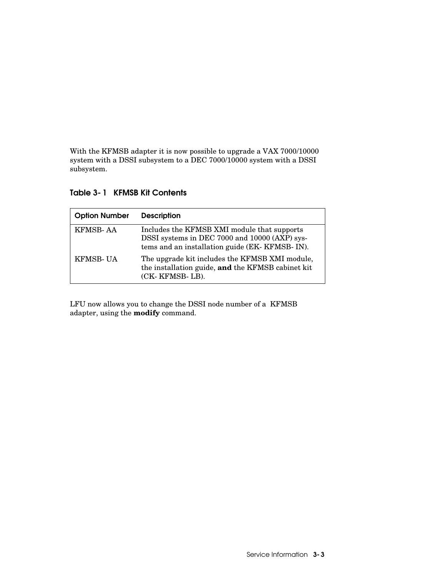With the KFMSB adapter it is now possible to upgrade a VAX 7000/10000 system with a DSSI subsystem to a DEC 7000/10000 system with a DSSI subsystem.

| <b>Option Number</b> | <b>Description</b>                                                                                                                              |
|----------------------|-------------------------------------------------------------------------------------------------------------------------------------------------|
| <b>KFMSB-AA</b>      | Includes the KFMSB XMI module that supports<br>DSSI systems in DEC 7000 and 10000 (AXP) sys-<br>tems and an installation guide (EK- KFMSB- IN). |
| <b>KFMSB-UA</b>      | The upgrade kit includes the KFMSB XMI module,<br>the installation guide, and the KFMSB cabinet kit<br>(CK-KFMSB-LB).                           |

Table 3-1 KFMSB Kit Contents

LFU now allows you to change the DSSI node number of a KFMSB adapter, using the **modify** command.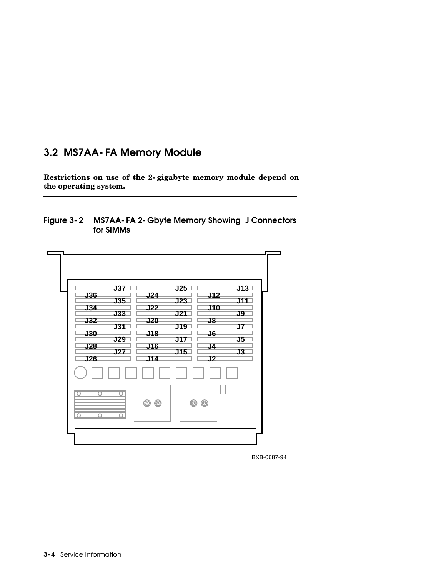### 3.2 MS7AA-FA Memory Module

**Restrictions on use of the 2-gigabyte memory module depend on the operating system.**





BXB-0687-94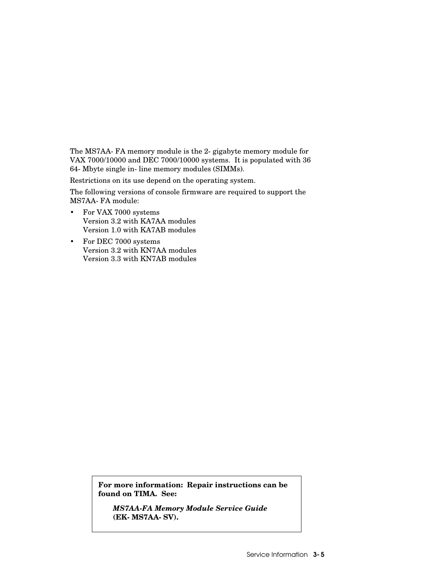The MS7AA-FA memory module is the 2- gigabyte memory module for VAX 7000/10000 and DEC 7000/10000 systems. It is populated with 36 64-Mbyte single in-line memory modules (SIMMs).

Restrictions on its use depend on the operating system.

The following versions of console firmware are required to support the MS7AA-FA module:

- For VAX 7000 systems Version 3.2 with KA7AA modules Version 1.0 with KA7AB modules
- For DEC 7000 systems Version 3.2 with KN7AA modules Version 3.3 with KN7AB modules

**For more information: Repair instructions can be found on TIMA. See:**

*MS7AA-FA Memory Module Service Guide*  **(EK-MS7AA-SV).**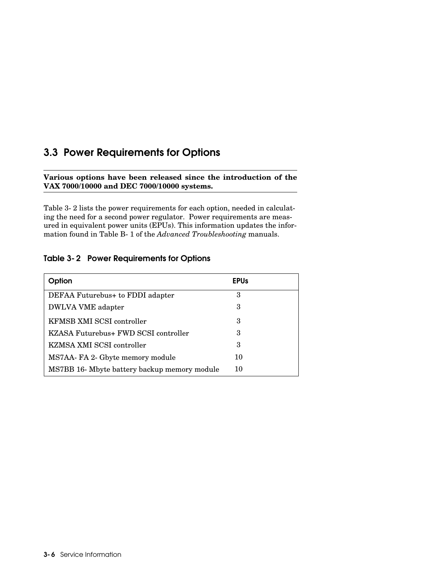### 3.3 Power Requirements for Options

**Various options have been released since the introduction of the VAX 7000/10000 and DEC 7000/10000 systems.** 

Table 3-2 lists the power requirements for each option, needed in calculating the need for a second power regulator. Power requirements are measured in equivalent power units (EPUs). This information updates the information found in Table B-1 of the *Advanced Troubleshooting* manuals.

#### Table 3-2 Power Requirements for Options

| Option                                       | <b>EPUs</b> |  |
|----------------------------------------------|-------------|--|
| DEFAA Futurebus + to FDDI adapter            | 3           |  |
| DWLVA VME adapter                            | 3           |  |
| KFMSB XMI SCSI controller                    | 3           |  |
| KZASA Futurebus+ FWD SCSI controller         | 3           |  |
| KZMSA XMI SCSI controller                    | З           |  |
| MS7AA-FA 2- Gbyte memory module              | 10          |  |
| MS7BB 16- Mbyte battery backup memory module | 10          |  |